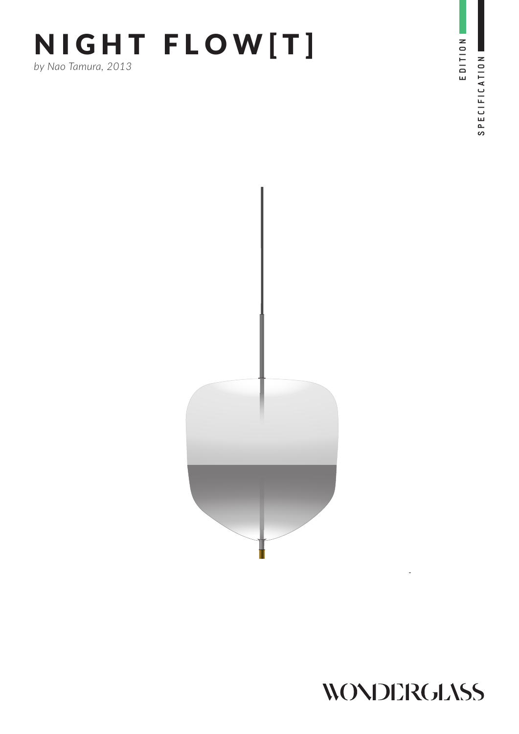# NIGHT FLOW[T] *by Nao Tamura, 2013*

EDITION SPECIFICATION SPECIFICATION

EDITION